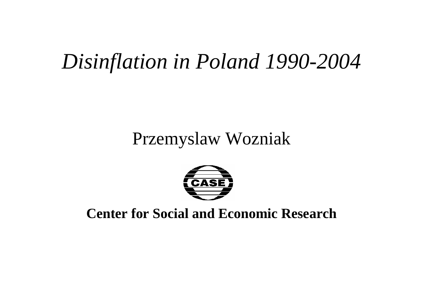# *Disinflation in Poland 1990-2004*

#### Przemyslaw Wozniak



#### **Center for Social and Economic Research**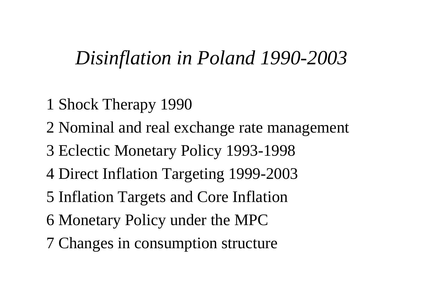#### *Disinflation in Poland 1990-2003*

- 1 Shock Therapy 1990
- 2 Nominal and real exchange rate managemen<sup>t</sup>
- 3 Eclectic Monetary Policy 1993-1998
- 4 Direct Inflation Targeting 1999-2003
- 5 Inflation Targets and Core Inflation
- 6 Monetary Policy under the MPC
- 7 Changes in consumption structure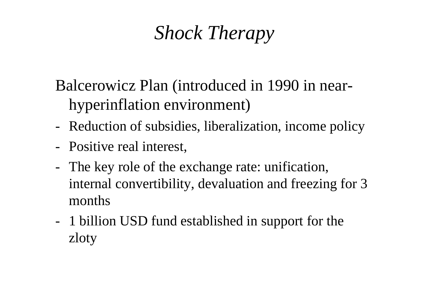# *Shock Therapy*

Balcerowicz Plan (introduced in 1990 in nearhyperinflation environment)

- Reduction of subsidies, liberalization, income policy
- Positive real interest,
- The key role of the exchange rate: unification, internal convertibility, devaluation and freezing for 3 months
- 1 billion USD fund established in suppor<sup>t</sup> for the zloty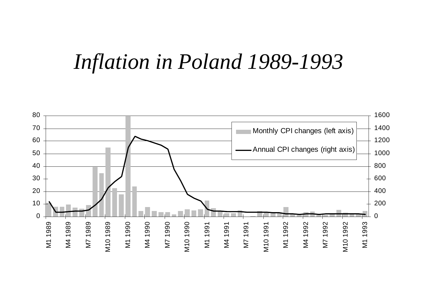# *Inflation in Poland 1989-1993*

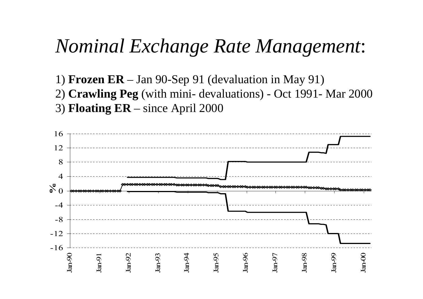#### *Nominal Exchange Rate Management*:

- 1) **Frozen ER** Jan 90-Sep 91 (devaluation in May 91)
- 2) **Crawling Peg** (with mini- devaluations) Oct 1991- Mar 2000
- 3) **Floating ER** since April 2000

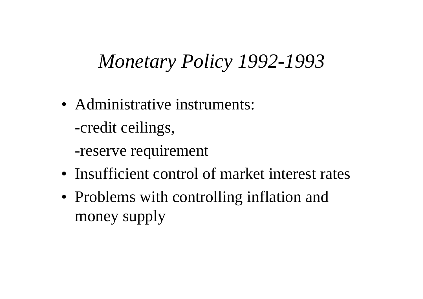### *Monetary Policy 1992-1993*

• Administrative instruments: -credit ceilings,

-reserve requirement

- Insufficient control of market interest rates
- Problems with controlling inflation and money supply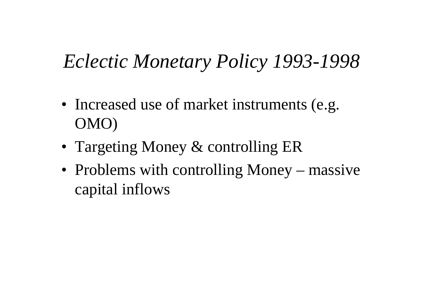# *Eclectic Monetary Policy 1993-1998*

- Increased use of market instruments (e.g. OMO)
- Targeting Money & controlling ER
- Problems with controlling Money massive capital inflows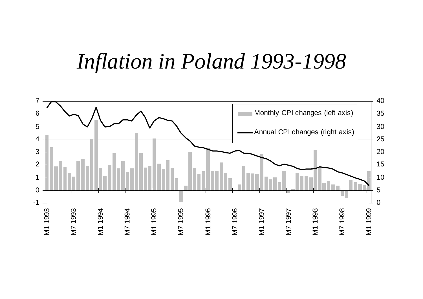# *Inflation in Poland 1993-1998*

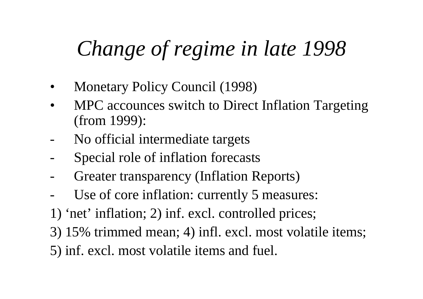# *Change of regime in late 1998*

- •Monetary Policy Council (1998)
- • MPC accounces switch to Direct Inflation Targeting (from 1999):
- No official intermediate targets
- -Special role of inflation forecasts
- -Greater transparency (Inflation Reports)
- -Use of core inflation: currently 5 measures:
- 1) 'net' inflation; 2) inf. excl. controlled prices;
- 3) 15% trimmed mean; 4) infl. excl. most volatile items;
- 5) inf. excl. most volatile items and fuel.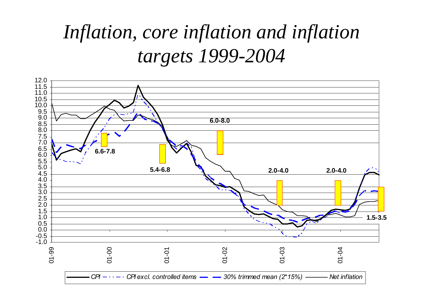# *Inflation, core inflation and inflation targets 1999-2004*

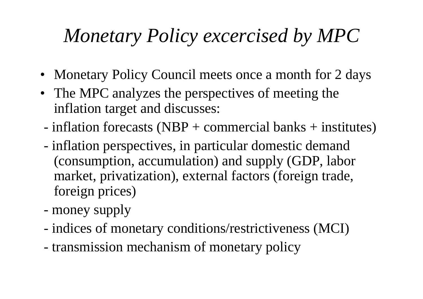# *Monetary Policy excercised by MPC*

- Monetary Policy Council meets once a month for 2 days
- The MPC analyzes the perspectives of meeting the inflation target and discusses:
- inflation forecasts (NBP + commercial banks + institutes)
- inflation perspectives, in particular domestic demand (consumption, accumulation) and supply (GDP, labor market, privatization), external factors (foreign trade, foreign prices)
- money supply
- indices of monetary conditions/restrictiveness (MCI)
- transmission mechanism of monetary policy